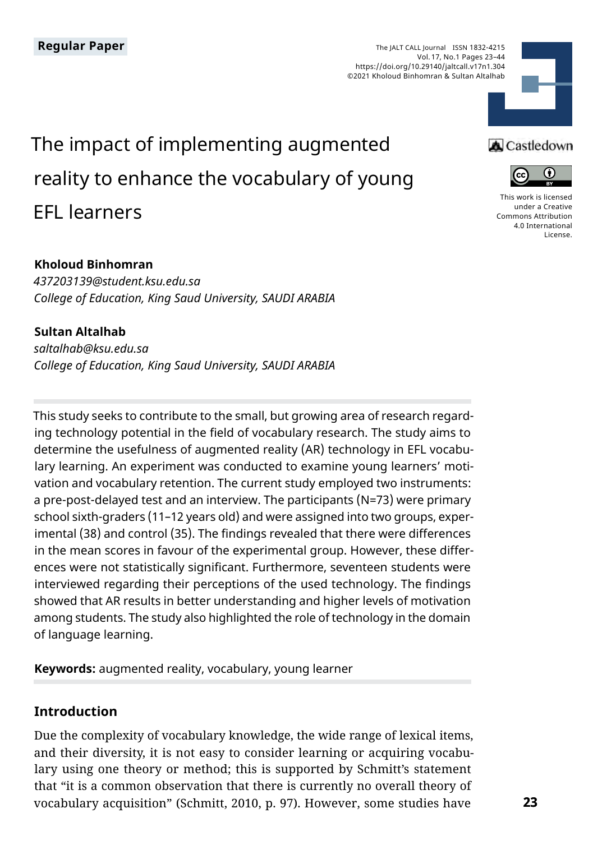The JALT CALL Journal ISSN 1832-4215 Vol. 17, No.1 Pages 23–44 https://doi.org/10.29140/jaltcall.v17n1.304 ©2021 Kholoud Binhomran & Sultan Altalhab



# The impact of implementing augmented reality to enhance the vocabulary of young EFL learners

#### **Kholoud Binhomran**

*437203139@student.ksu.edu.sa College of Education, King Saud University, SAUDI ARABIA*

#### **Sultan Altalhab**

*saltalhab@ksu.edu.sa College of Education, King Saud University, SAUDI ARABIA*

This study seeks to contribute to the small, but growing area of research regarding technology potential in the field of vocabulary research. The study aims to determine the usefulness of augmented reality (AR) technology in EFL vocabulary learning. An experiment was conducted to examine young learners' motivation and vocabulary retention. The current study employed two instruments: a pre-post-delayed test and an interview. The participants (N=73) were primary school sixth-graders (11–12 years old) and were assigned into two groups, experimental (38) and control (35). The findings revealed that there were differences in the mean scores in favour of the experimental group. However, these differences were not statistically significant. Furthermore, seventeen students were interviewed regarding their perceptions of the used technology. The findings showed that AR results in better understanding and higher levels of motivation among students. The study also highlighted the role of technology in the domain of language learning.

**Keywords:** augmented reality, vocabulary, young learner

# **Introduction**

Due the complexity of vocabulary knowledge, the wide range of lexical items, and their diversity, it is not easy to consider learning or acquiring vocabulary using one theory or method; this is supported by Schmitt's statement that "it is a common observation that there is currently no overall theory of vocabulary acquisition" (Schmitt, 2010, p. 97). However, some studies have

# **A** Castledown



[This work is licensed](https://creativecommons.org/licenses/by/4.0/)  [under a Creative](https://creativecommons.org/licenses/by/4.0/)  [Commons Attribution](https://creativecommons.org/licenses/by/4.0/)  [4.0 International](https://creativecommons.org/licenses/by/4.0/)  [License](https://creativecommons.org/licenses/by/4.0/).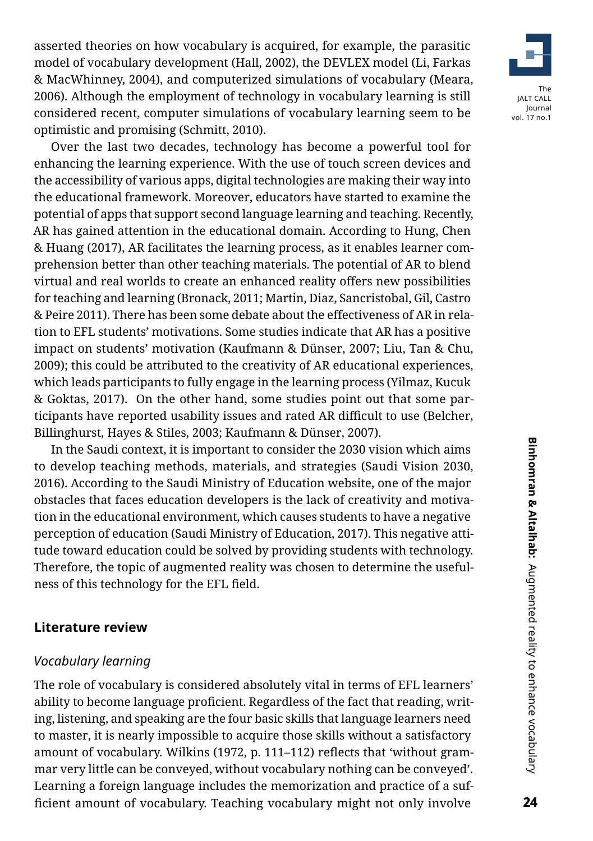asserted theories on how vocabulary is acquired, for example, the parasitic model of vocabulary development (Hall, 2002), the DEVLEX model (Li, Farkas & MacWhinney, 2004), and computerized simulations of vocabulary (Meara, 2006). Although the employment of technology in vocabulary learning is still considered recent, computer simulations of vocabulary learning seem to be optimistic and promising (Schmitt, 2010).

Over the last two decades, technology has become a powerful tool for enhancing the learning experience. With the use of touch screen devices and the accessibility of various apps, digital technologies are making their way into the educational framework. Moreover, educators have started to examine the potential of apps that support second language learning and teaching. Recently, AR has gained attention in the educational domain. According to Hung, Chen & Huang (2017), AR facilitates the learning process, as it enables learner comprehension better than other teaching materials. The potential of AR to blend virtual and real worlds to create an enhanced reality offers new possibilities for teaching and learning (Bronack, 2011; Martin, Diaz, Sancristobal, Gil, Castro & Peire 2011). There has been some debate about the effectiveness of AR in relation to EFL students' motivations. Some studies indicate that AR has a positive impact on students' motivation (Kaufmann & Dünser, 2007; Liu, Tan & Chu, 2009); this could be attributed to the creativity of AR educational experiences, which leads participants to fully engage in the learning process (Yilmaz, Kucuk & Goktas, 2017). On the other hand, some studies point out that some participants have reported usability issues and rated AR difficult to use (Belcher, Billinghurst, Hayes & Stiles, 2003; Kaufmann & Dünser, 2007).

In the Saudi context, it is important to consider the 2030 vision which aims to develop teaching methods, materials, and strategies (Saudi Vision 2030, 2016). According to the Saudi Ministry of Education website, one of the major obstacles that faces education developers is the lack of creativity and motivation in the educational environment, which causes students to have a negative perception of education (Saudi Ministry of Education, 2017). This negative attitude toward education could be solved by providing students with technology. Therefore, the topic of augmented reality was chosen to determine the usefulness of this technology for the EFL field.

#### **Literature review**

#### *Vocabulary learning*

The role of vocabulary is considered absolutely vital in terms of EFL learners' ability to become language proficient. Regardless of the fact that reading, writing, listening, and speaking are the four basic skills that language learners need to master, it is nearly impossible to acquire those skills without a satisfactory amount of vocabulary. Wilkins (1972, p. 111–112) reflects that 'without grammar very little can be conveyed, without vocabulary nothing can be conveyed'. Learning a foreign language includes the memorization and practice of a sufficient amount of vocabulary. Teaching vocabulary might not only involve

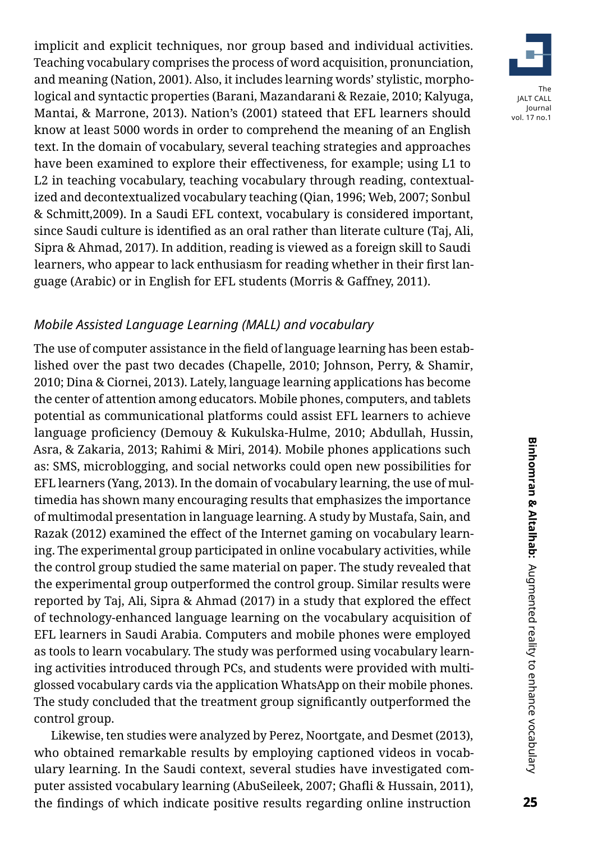implicit and explicit techniques, nor group based and individual activities. Teaching vocabulary comprises the process of word acquisition, pronunciation, and meaning (Nation, 2001). Also, it includes learning words' stylistic, morphological and syntactic properties (Barani, Mazandarani & Rezaie, 2010; Kalyuga, Mantai, & Marrone, 2013). Nation's (2001) stateed that EFL learners should know at least 5000 words in order to comprehend the meaning of an English text. In the domain of vocabulary, several teaching strategies and approaches have been examined to explore their effectiveness, for example; using L1 to L2 in teaching vocabulary, teaching vocabulary through reading, contextualized and decontextualized vocabulary teaching (Qian, 1996; Web, 2007; Sonbul & Schmitt,2009). In a Saudi EFL context, vocabulary is considered important, since Saudi culture is identified as an oral rather than literate culture (Taj, Ali, Sipra & Ahmad, 2017). In addition, reading is viewed as a foreign skill to Saudi learners, who appear to lack enthusiasm for reading whether in their first language (Arabic) or in English for EFL students (Morris & Gaffney, 2011).

## *Mobile Assisted Language Learning (MALL) and vocabulary*

The use of computer assistance in the field of language learning has been established over the past two decades (Chapelle, 2010; Johnson, Perry, & Shamir, 2010; Dina & Ciornei, 2013). Lately, language learning applications has become the center of attention among educators. Mobile phones, computers, and tablets potential as communicational platforms could assist EFL learners to achieve language proficiency (Demouy & Kukulska-Hulme, 2010; Abdullah, Hussin, Asra, & Zakaria, 2013; Rahimi & Miri, 2014). Mobile phones applications such as: SMS, microblogging, and social networks could open new possibilities for EFL learners (Yang, 2013). In the domain of vocabulary learning, the use of multimedia has shown many encouraging results that emphasizes the importance of multimodal presentation in language learning. A study by Mustafa, Sain, and Razak (2012) examined the effect of the Internet gaming on vocabulary learning. The experimental group participated in online vocabulary activities, while the control group studied the same material on paper. The study revealed that the experimental group outperformed the control group. Similar results were reported by Taj, Ali, Sipra & Ahmad (2017) in a study that explored the effect of technology-enhanced language learning on the vocabulary acquisition of EFL learners in Saudi Arabia. Computers and mobile phones were employed as tools to learn vocabulary. The study was performed using vocabulary learning activities introduced through PCs, and students were provided with multiglossed vocabulary cards via the application WhatsApp on their mobile phones. The study concluded that the treatment group significantly outperformed the control group.

Likewise, ten studies were analyzed by Perez, Noortgate, and Desmet (2013), who obtained remarkable results by employing captioned videos in vocabulary learning. In the Saudi context, several studies have investigated computer assisted vocabulary learning (AbuSeileek, 2007; Ghafli & Hussain, 2011), the findings of which indicate positive results regarding online instruction

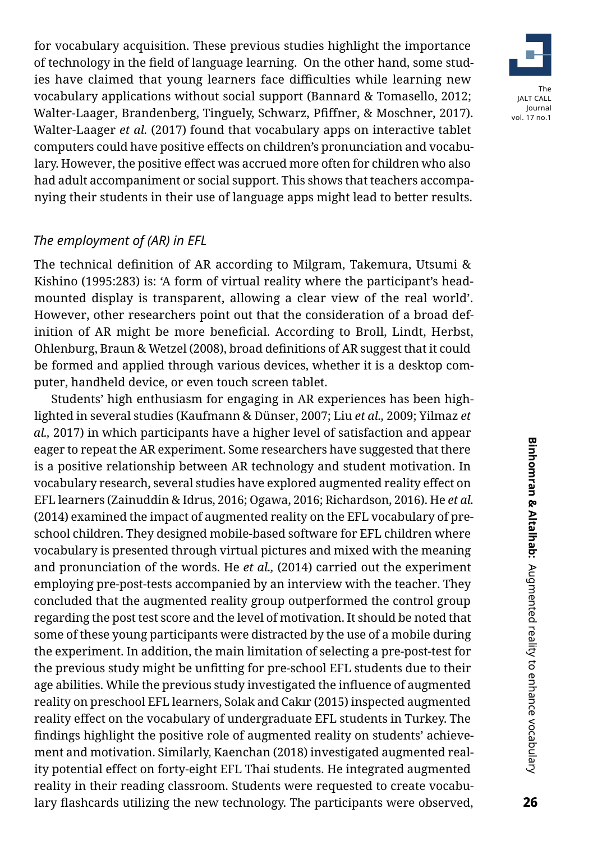for vocabulary acquisition. These previous studies highlight the importance of technology in the field of language learning. On the other hand, some studies have claimed that young learners face difficulties while learning new vocabulary applications without social support (Bannard & Tomasello, 2012; Walter-Laager, Brandenberg, Tinguely, Schwarz, Pfiffner, & Moschner, 2017). Walter-Laager *et al.* (2017) found that vocabulary apps on interactive tablet computers could have positive effects on children's pronunciation and vocabulary. However, the positive effect was accrued more often for children who also had adult accompaniment or social support. This shows that teachers accompanying their students in their use of language apps might lead to better results.

#### *The employment of (AR) in EFL*

The technical definition of AR according to Milgram, Takemura, Utsumi & Kishino (1995:283) is: 'A form of virtual reality where the participant's headmounted display is transparent, allowing a clear view of the real world'. However, other researchers point out that the consideration of a broad definition of AR might be more beneficial. According to Broll, Lindt, Herbst, Ohlenburg, Braun & Wetzel (2008), broad definitions of AR suggest that it could be formed and applied through various devices, whether it is a desktop computer, handheld device, or even touch screen tablet.

Students' high enthusiasm for engaging in AR experiences has been highlighted in several studies (Kaufmann & Dünser, 2007; Liu *et al.,* 2009; Yilmaz *et al.,* 2017) in which participants have a higher level of satisfaction and appear eager to repeat the AR experiment. Some researchers have suggested that there is a positive relationship between AR technology and student motivation. In vocabulary research, several studies have explored augmented reality effect on EFL learners (Zainuddin & Idrus, 2016; Ogawa, 2016; Richardson, 2016). He *et al.* (2014) examined the impact of augmented reality on the EFL vocabulary of preschool children. They designed mobile-based software for EFL children where vocabulary is presented through virtual pictures and mixed with the meaning and pronunciation of the words. He *et al.,* (2014) carried out the experiment employing pre-post-tests accompanied by an interview with the teacher. They concluded that the augmented reality group outperformed the control group regarding the post test score and the level of motivation. It should be noted that some of these young participants were distracted by the use of a mobile during the experiment. In addition, the main limitation of selecting a pre-post-test for the previous study might be unfitting for pre-school EFL students due to their age abilities. While the previous study investigated the influence of augmented reality on preschool EFL learners, Solak and Cakır (2015) inspected augmented reality effect on the vocabulary of undergraduate EFL students in Turkey. The findings highlight the positive role of augmented reality on students' achievement and motivation. Similarly, Kaenchan (2018) investigated augmented reality potential effect on forty-eight EFL Thai students. He integrated augmented reality in their reading classroom. Students were requested to create vocabulary flashcards utilizing the new technology. The participants were observed,

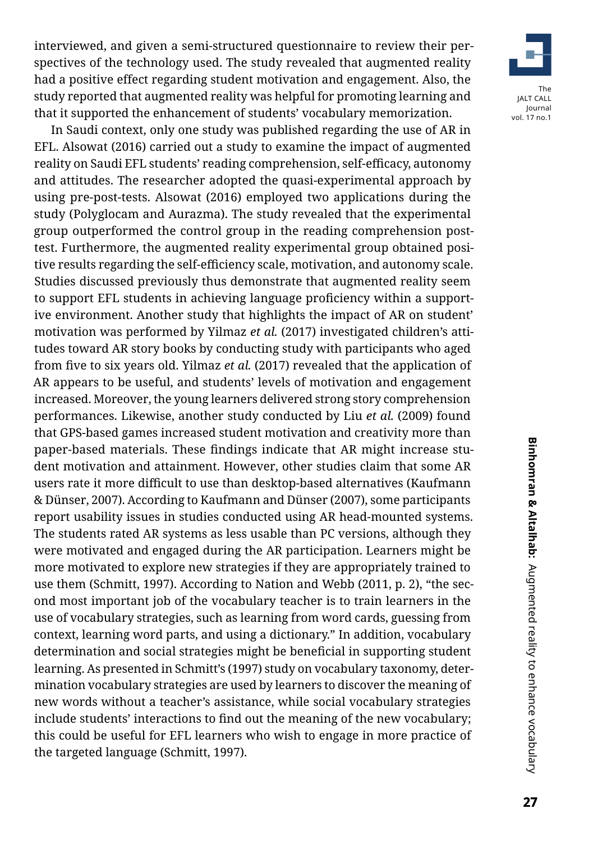interviewed, and given a semi-structured questionnaire to review their perspectives of the technology used. The study revealed that augmented reality had a positive effect regarding student motivation and engagement. Also, the study reported that augmented reality was helpful for promoting learning and that it supported the enhancement of students' vocabulary memorization.

In Saudi context, only one study was published regarding the use of AR in EFL. Alsowat (2016) carried out a study to examine the impact of augmented reality on Saudi EFL students' reading comprehension, self-efficacy, autonomy and attitudes. The researcher adopted the quasi-experimental approach by using pre-post-tests. Alsowat (2016) employed two applications during the study (Polyglocam and Aurazma). The study revealed that the experimental group outperformed the control group in the reading comprehension posttest. Furthermore, the augmented reality experimental group obtained positive results regarding the self-efficiency scale, motivation, and autonomy scale. Studies discussed previously thus demonstrate that augmented reality seem to support EFL students in achieving language proficiency within a supportive environment. Another study that highlights the impact of AR on student' motivation was performed by Yilmaz *et al.* (2017) investigated children's attitudes toward AR story books by conducting study with participants who aged from five to six years old. Yilmaz *et al.* (2017) revealed that the application of AR appears to be useful, and students' levels of motivation and engagement increased. Moreover, the young learners delivered strong story comprehension performances. Likewise, another study conducted by Liu *et al.* (2009) found that GPS-based games increased student motivation and creativity more than paper-based materials. These findings indicate that AR might increase student motivation and attainment. However, other studies claim that some AR users rate it more difficult to use than desktop-based alternatives (Kaufmann & Dünser, 2007). According to Kaufmann and Dünser (2007), some participants report usability issues in studies conducted using AR head-mounted systems. The students rated AR systems as less usable than PC versions, although they were motivated and engaged during the AR participation. Learners might be more motivated to explore new strategies if they are appropriately trained to use them (Schmitt, 1997). According to Nation and Webb (2011, p. 2), "the second most important job of the vocabulary teacher is to train learners in the use of vocabulary strategies, such as learning from word cards, guessing from context, learning word parts, and using a dictionary." In addition, vocabulary determination and social strategies might be beneficial in supporting student learning. As presented in Schmitt's (1997) study on vocabulary taxonomy, determination vocabulary strategies are used by learners to discover the meaning of new words without a teacher's assistance, while social vocabulary strategies include students' interactions to find out the meaning of the new vocabulary; this could be useful for EFL learners who wish to engage in more practice of the targeted language (Schmitt, 1997).

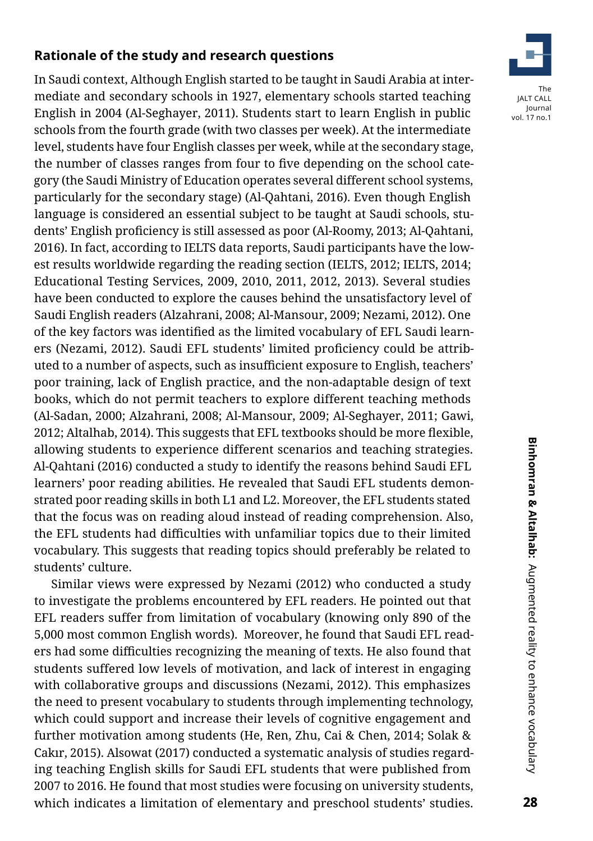## **Rationale of the study and research questions**

In Saudi context, Although English started to be taught in Saudi Arabia at intermediate and secondary schools in 1927, elementary schools started teaching English in 2004 (Al-Seghayer, 2011). Students start to learn English in public schools from the fourth grade (with two classes per week). At the intermediate level, students have four English classes per week, while at the secondary stage, the number of classes ranges from four to five depending on the school category (the Saudi Ministry of Education operates several different school systems, particularly for the secondary stage) (Al-Qahtani, 2016). Even though English language is considered an essential subject to be taught at Saudi schools, students' English proficiency is still assessed as poor (Al-Roomy, 2013; Al-Qahtani, 2016). In fact, according to IELTS data reports, Saudi participants have the lowest results worldwide regarding the reading section (IELTS, 2012; IELTS, 2014; Educational Testing Services, 2009, 2010, 2011, 2012, 2013). Several studies have been conducted to explore the causes behind the unsatisfactory level of Saudi English readers (Alzahrani, 2008; Al-Mansour, 2009; Nezami, 2012). One of the key factors was identified as the limited vocabulary of EFL Saudi learners (Nezami, 2012). Saudi EFL students' limited proficiency could be attributed to a number of aspects, such as insufficient exposure to English, teachers' poor training, lack of English practice, and the non-adaptable design of text books, which do not permit teachers to explore different teaching methods (Al-Sadan, 2000; Alzahrani, 2008; Al-Mansour, 2009; Al-Seghayer, 2011; Gawi, 2012; Altalhab, 2014). This suggests that EFL textbooks should be more flexible, allowing students to experience different scenarios and teaching strategies. Al-Qahtani (2016) conducted a study to identify the reasons behind Saudi EFL learners' poor reading abilities. He revealed that Saudi EFL students demonstrated poor reading skills in both L1 and L2. Moreover, the EFL students stated that the focus was on reading aloud instead of reading comprehension. Also, the EFL students had difficulties with unfamiliar topics due to their limited vocabulary. This suggests that reading topics should preferably be related to students' culture.

Similar views were expressed by Nezami (2012) who conducted a study to investigate the problems encountered by EFL readers. He pointed out that EFL readers suffer from limitation of vocabulary (knowing only 890 of the 5,000 most common English words). Moreover, he found that Saudi EFL readers had some difficulties recognizing the meaning of texts. He also found that students suffered low levels of motivation, and lack of interest in engaging with collaborative groups and discussions (Nezami, 2012). This emphasizes the need to present vocabulary to students through implementing technology, which could support and increase their levels of cognitive engagement and further motivation among students (He, Ren, Zhu, Cai & Chen, 2014; Solak & Cakır, 2015). Alsowat (2017) conducted a systematic analysis of studies regarding teaching English skills for Saudi EFL students that were published from 2007 to 2016. He found that most studies were focusing on university students, which indicates a limitation of elementary and preschool students' studies.

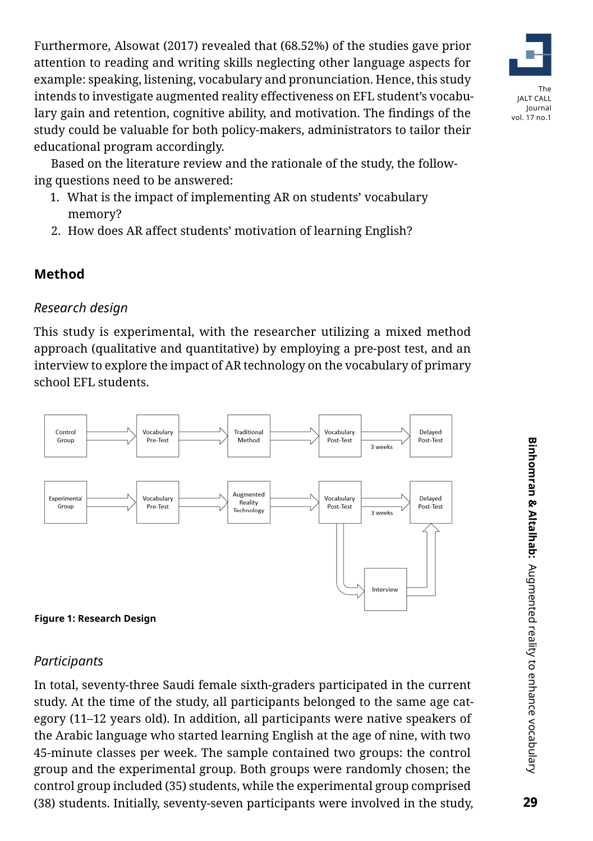Furthermore, Alsowat (2017) revealed that (68.52%) of the studies gave prior attention to reading and writing skills neglecting other language aspects for example: speaking, listening, vocabulary and pronunciation. Hence, this study intends to investigate augmented reality effectiveness on EFL student's vocabulary gain and retention, cognitive ability, and motivation. The findings of the study could be valuable for both policy-makers, administrators to tailor their educational program accordingly.

Based on the literature review and the rationale of the study, the following questions need to be answered:

- 1. What is the impact of implementing AR on students' vocabulary memory?
- 2. How does AR affect students' motivation of learning English?

# **Method**

## *Research design*

This study is experimental, with the researcher utilizing a mixed method approach (qualitative and quantitative) by employing a pre-post test, and an interview to explore the impact of AR technology on the vocabulary of primary school EFL students.





## *Participants*

In total, seventy-three Saudi female sixth-graders participated in the current study. At the time of the study, all participants belonged to the same age category (11–12 years old). In addition, all participants were native speakers of the Arabic language who started learning English at the age of nine, with two 45-minute classes per week. The sample contained two groups: the control group and the experimental group. Both groups were randomly chosen; the control group included (35) students, while the experimental group comprised (38) students. Initially, seventy-seven participants were involved in the study,

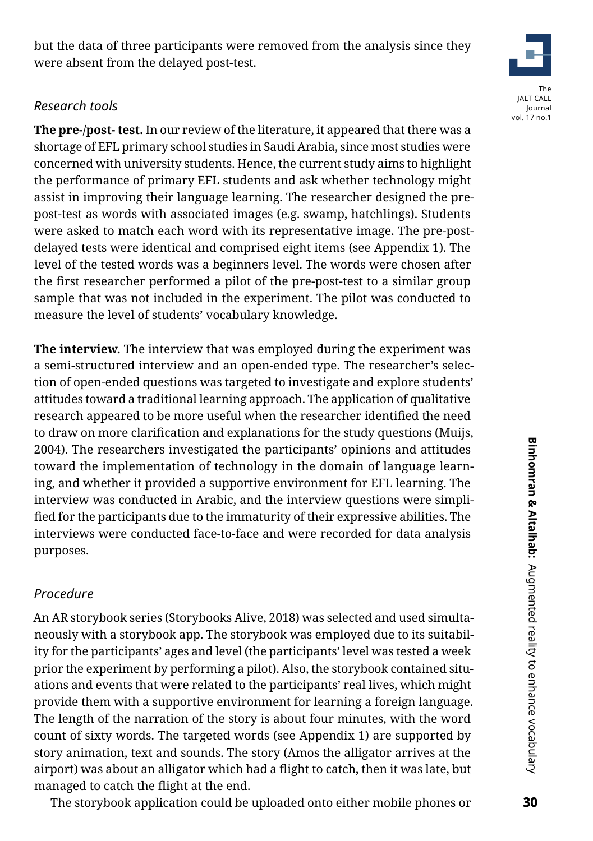but the data of three participants were removed from the analysis since they were absent from the delayed post-test.

## *Research tools*

**The pre-/post- test.** In our review of the literature, it appeared that there was a shortage of EFL primary school studies in Saudi Arabia, since most studies were concerned with university students. Hence, the current study aims to highlight the performance of primary EFL students and ask whether technology might assist in improving their language learning. The researcher designed the prepost-test as words with associated images (e.g. swamp, hatchlings). Students were asked to match each word with its representative image. The pre-postdelayed tests were identical and comprised eight items (see Appendix 1). The level of the tested words was a beginners level. The words were chosen after the first researcher performed a pilot of the pre-post-test to a similar group sample that was not included in the experiment. The pilot was conducted to measure the level of students' vocabulary knowledge.

**The interview.** The interview that was employed during the experiment was a semi-structured interview and an open-ended type. The researcher's selection of open-ended questions was targeted to investigate and explore students' attitudes toward a traditional learning approach. The application of qualitative research appeared to be more useful when the researcher identified the need to draw on more clarification and explanations for the study questions (Muijs, 2004). The researchers investigated the participants' opinions and attitudes toward the implementation of technology in the domain of language learning, and whether it provided a supportive environment for EFL learning. The interview was conducted in Arabic, and the interview questions were simplified for the participants due to the immaturity of their expressive abilities. The interviews were conducted face-to-face and were recorded for data analysis purposes.

# *Procedure*

An AR storybook series (Storybooks Alive, 2018) was selected and used simultaneously with a storybook app. The storybook was employed due to its suitability for the participants' ages and level (the participants' level was tested a week prior the experiment by performing a pilot). Also, the storybook contained situations and events that were related to the participants' real lives, which might provide them with a supportive environment for learning a foreign language. The length of the narration of the story is about four minutes, with the word count of sixty words. The targeted words (see Appendix 1) are supported by story animation, text and sounds. The story (Amos the alligator arrives at the airport) was about an alligator which had a flight to catch, then it was late, but managed to catch the flight at the end.

The storybook application could be uploaded onto either mobile phones or

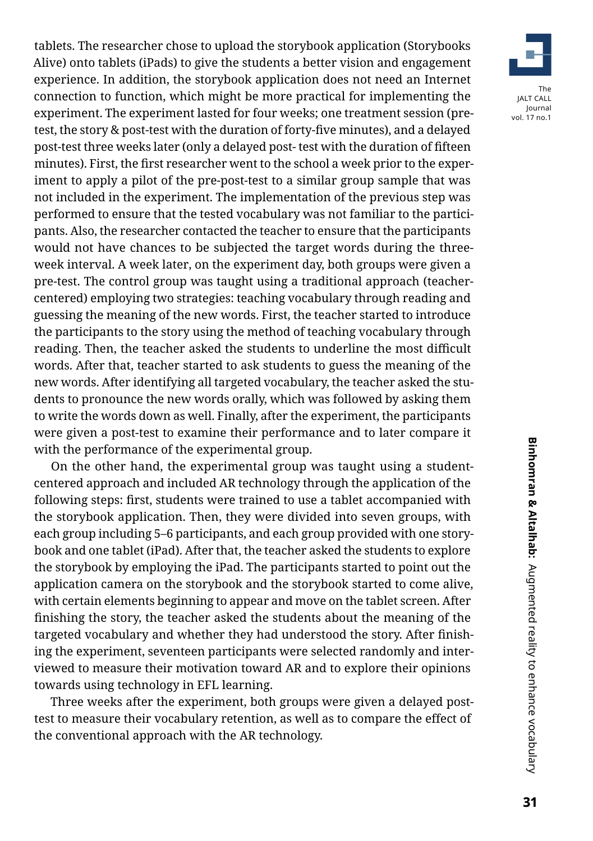tablets. The researcher chose to upload the storybook application (Storybooks Alive) onto tablets (iPads) to give the students a better vision and engagement experience. In addition, the storybook application does not need an Internet connection to function, which might be more practical for implementing the experiment. The experiment lasted for four weeks; one treatment session (pretest, the story & post-test with the duration of forty-five minutes), and a delayed post-test three weeks later (only a delayed post- test with the duration of fifteen minutes). First, the first researcher went to the school a week prior to the experiment to apply a pilot of the pre-post-test to a similar group sample that was not included in the experiment. The implementation of the previous step was performed to ensure that the tested vocabulary was not familiar to the participants. Also, the researcher contacted the teacher to ensure that the participants would not have chances to be subjected the target words during the threeweek interval. A week later, on the experiment day, both groups were given a pre-test. The control group was taught using a traditional approach (teachercentered) employing two strategies: teaching vocabulary through reading and guessing the meaning of the new words. First, the teacher started to introduce the participants to the story using the method of teaching vocabulary through reading. Then, the teacher asked the students to underline the most difficult words. After that, teacher started to ask students to guess the meaning of the new words. After identifying all targeted vocabulary, the teacher asked the students to pronounce the new words orally, which was followed by asking them to write the words down as well. Finally, after the experiment, the participants were given a post-test to examine their performance and to later compare it with the performance of the experimental group.

On the other hand, the experimental group was taught using a studentcentered approach and included AR technology through the application of the following steps: first, students were trained to use a tablet accompanied with the storybook application. Then, they were divided into seven groups, with each group including 5–6 participants, and each group provided with one storybook and one tablet (iPad). After that, the teacher asked the students to explore the storybook by employing the iPad. The participants started to point out the application camera on the storybook and the storybook started to come alive, with certain elements beginning to appear and move on the tablet screen. After finishing the story, the teacher asked the students about the meaning of the targeted vocabulary and whether they had understood the story. After finishing the experiment, seventeen participants were selected randomly and interviewed to measure their motivation toward AR and to explore their opinions towards using technology in EFL learning.

Three weeks after the experiment, both groups were given a delayed posttest to measure their vocabulary retention, as well as to compare the effect of the conventional approach with the AR technology.

Binhomran & Altalhab: Augmented reality to enhance vocabulary **31Binhomran & Altalhab:** Augmented reality to enhance vocabulary

The JALT CALL Journal vol. 17 no.1

 $31$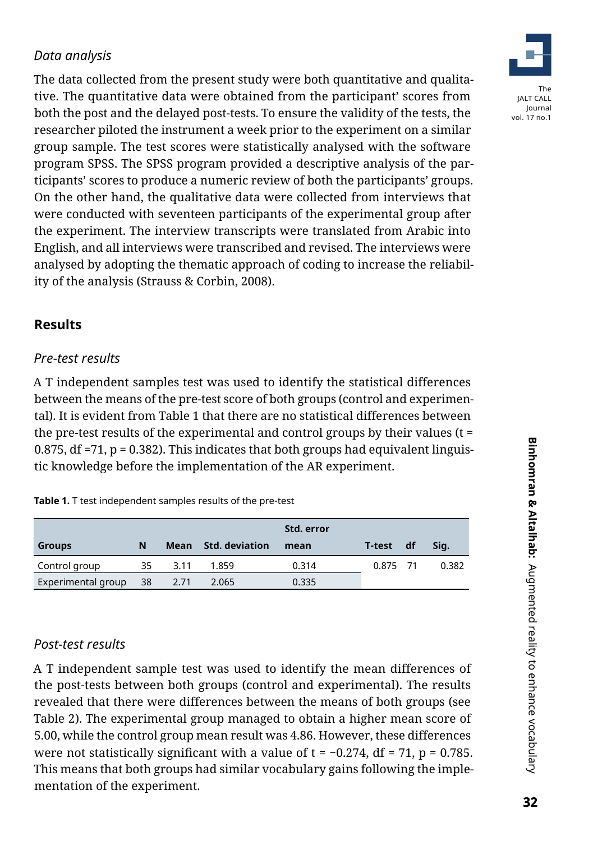# *Data analysis*

The data collected from the present study were both quantitative and qualitative. The quantitative data were obtained from the participant' scores from both the post and the delayed post-tests. To ensure the validity of the tests, the researcher piloted the instrument a week prior to the experiment on a similar group sample. The test scores were statistically analysed with the software program SPSS. The SPSS program provided a descriptive analysis of the participants' scores to produce a numeric review of both the participants' groups. On the other hand, the qualitative data were collected from interviews that were conducted with seventeen participants of the experimental group after the experiment. The interview transcripts were translated from Arabic into English, and all interviews were transcribed and revised. The interviews were analysed by adopting the thematic approach of coding to increase the reliability of the analysis (Strauss & Corbin, 2008).

## **Results**

#### *Pre-test results*

A T independent samples test was used to identify the statistical differences between the means of the pre-test score of both groups (control and experimental). It is evident from Table 1 that there are no statistical differences between the pre-test results of the experimental and control groups by their values ( $t =$ 0.875, df  $=71$ ,  $p = 0.382$ ). This indicates that both groups had equivalent linguistic knowledge before the implementation of the AR experiment.

|                    |    |      |                     | Std. error |          |    |       |
|--------------------|----|------|---------------------|------------|----------|----|-------|
| <b>Groups</b>      | N  |      | Mean Std. deviation | mean       | T-test   | df | Sig.  |
| Control group      | 35 | 3.11 | 1.859               | 0.314      | 0.875 71 |    | 0.382 |
| Experimental group | 38 | 2.71 | 2.065               | 0.335      |          |    |       |

## *Post-test results*

A T independent sample test was used to identify the mean differences of the post-tests between both groups (control and experimental). The results revealed that there were differences between the means of both groups (see Table 2). The experimental group managed to obtain a higher mean score of 5.00, while the control group mean result was 4.86. However, these differences were not statistically significant with a value of  $t = -0.274$ , df = 71, p = 0.785. This means that both groups had similar vocabulary gains following the implementation of the experiment.

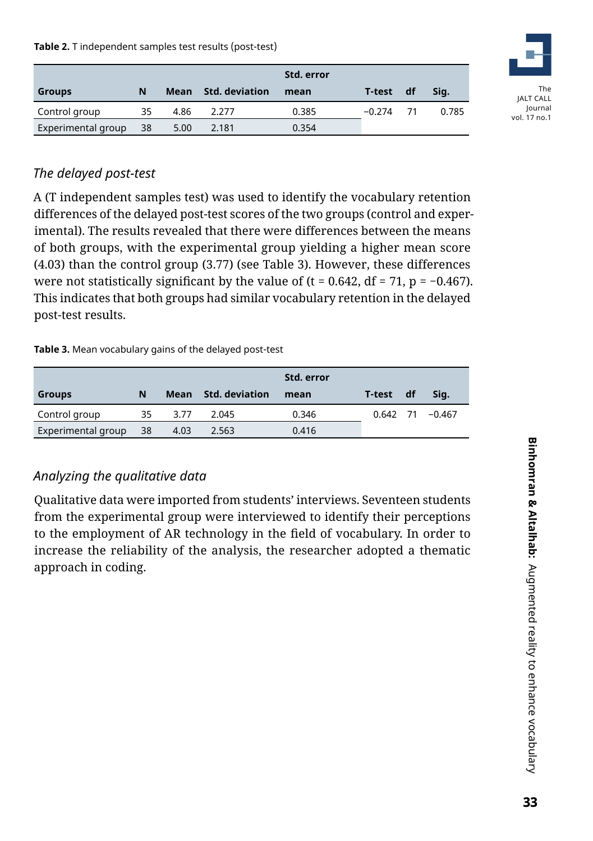**Table 2.** T independent samples test results (post-test)

|                    |    |      |                     | Std. error |          |      |       |
|--------------------|----|------|---------------------|------------|----------|------|-------|
| <b>Groups</b>      | N  |      | Mean Std. deviation | mean       | T-test   | df   | Sig.  |
| Control group      | 35 | 4.86 | 2.277               | 0.385      | $-0.274$ | - 71 | 0.785 |
| Experimental group | 38 | 5.00 | 2.181               | 0.354      |          |      |       |



# *The delayed post-test*

A (T independent samples test) was used to identify the vocabulary retention differences of the delayed post-test scores of the two groups (control and experimental). The results revealed that there were differences between the means of both groups, with the experimental group yielding a higher mean score (4.03) than the control group (3.77) (see Table 3). However, these differences were not statistically significant by the value of (t = 0.642, df = 71, p =  $-0.467$ ). This indicates that both groups had similar vocabulary retention in the delayed post-test results.

#### **Table 3.** Mean vocabulary gains of the delayed post-test

|                    |    |      |                     | Std. error |           |                     |
|--------------------|----|------|---------------------|------------|-----------|---------------------|
| <b>Groups</b>      | N  |      | Mean Std. deviation | mean       | T-test df | Sig.                |
| Control group      | 35 | 3.77 | 2.045               | 0.346      |           | $0.642$ 71 $-0.467$ |
| Experimental group | 38 | 4.03 | 2.563               | 0.416      |           |                     |

# *Analyzing the qualitative data*

Qualitative data were imported from students' interviews. Seventeen students from the experimental group were interviewed to identify their perceptions to the employment of AR technology in the field of vocabulary. In order to increase the reliability of the analysis, the researcher adopted a thematic approach in coding.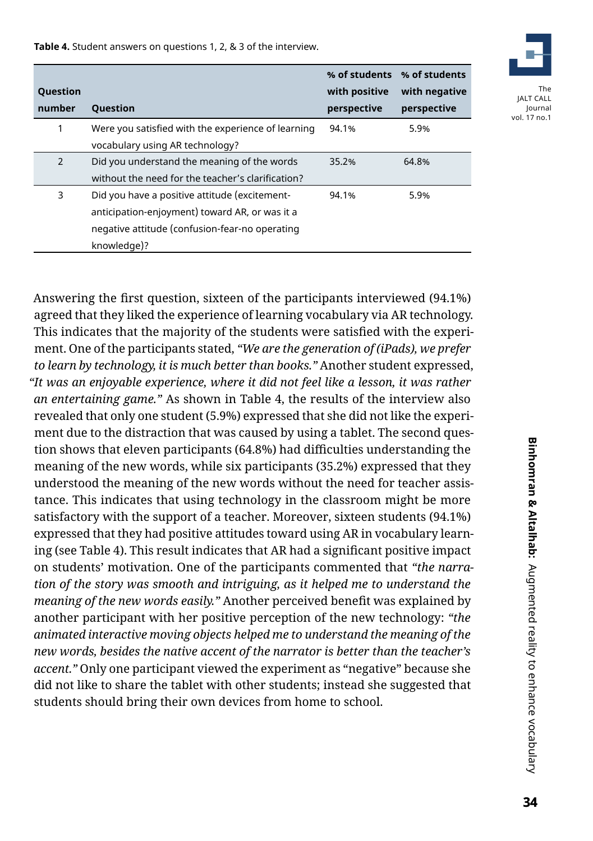**Table 4.** Student answers on questions 1, 2, & 3 of the interview.

| <b>Question</b><br>number | <b>Ouestion</b>                                                                                                                                                  | with positive<br>perspective | % of students % of students<br>with negative<br>perspective |
|---------------------------|------------------------------------------------------------------------------------------------------------------------------------------------------------------|------------------------------|-------------------------------------------------------------|
| 1                         | Were you satisfied with the experience of learning<br>vocabulary using AR technology?                                                                            | 94.1%                        | 5.9%                                                        |
| 2                         | Did you understand the meaning of the words<br>without the need for the teacher's clarification?                                                                 | 35.2%                        | 64.8%                                                       |
| 3                         | Did you have a positive attitude (excitement-<br>anticipation-enjoyment) toward AR, or was it a<br>negative attitude (confusion-fear-no operating<br>knowledge)? | 94.1%                        | 5.9%                                                        |

Answering the first question, sixteen of the participants interviewed (94.1%) agreed that they liked the experience of learning vocabulary via AR technology. This indicates that the majority of the students were satisfied with the experiment. One of the participants stated, *"We are the generation of (iPads), we prefer to learn by technology, it is much better than books."* Another student expressed, *"It was an enjoyable experience, where it did not feel like a lesson, it was rather an entertaining game."* As shown in Table 4, the results of the interview also revealed that only one student (5.9%) expressed that she did not like the experiment due to the distraction that was caused by using a tablet. The second question shows that eleven participants (64.8%) had difficulties understanding the meaning of the new words, while six participants (35.2%) expressed that they understood the meaning of the new words without the need for teacher assistance. This indicates that using technology in the classroom might be more satisfactory with the support of a teacher. Moreover, sixteen students (94.1%) expressed that they had positive attitudes toward using AR in vocabulary learning (see Table 4). This result indicates that AR had a significant positive impact on students' motivation. One of the participants commented that *"the narration of the story was smooth and intriguing, as it helped me to understand the meaning of the new words easily."* Another perceived benefit was explained by another participant with her positive perception of the new technology: *"the animated interactive moving objects helped me to understand the meaning of the new words, besides the native accent of the narrator is better than the teacher's accent."* Only one participant viewed the experiment as "negative" because she did not like to share the tablet with other students; instead she suggested that students should bring their own devices from home to school.

Journal vol. 17 no.1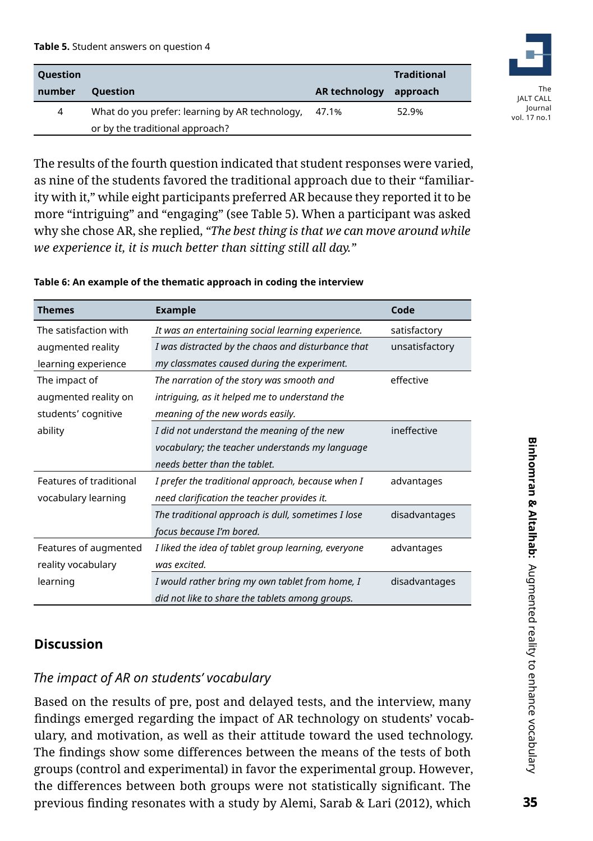#### **Table 5.** Student answers on question 4

| <b>Question</b> |                                                |                      | <b>Traditional</b> |
|-----------------|------------------------------------------------|----------------------|--------------------|
| number          | <b>Ouestion</b>                                | <b>AR technology</b> | approach           |
| 4               | What do you prefer: learning by AR technology, | 47.1%                | 52.9%              |
|                 | or by the traditional approach?                |                      |                    |



The results of the fourth question indicated that student responses were varied, as nine of the students favored the traditional approach due to their "familiarity with it," while eight participants preferred AR because they reported it to be more "intriguing" and "engaging" (see Table 5). When a participant was asked why she chose AR, she replied, *"The best thing is that we can move around while we experience it, it is much better than sitting still all day."*

#### **Table 6: An example of the thematic approach in coding the interview**

| <b>Themes</b>           | <b>Example</b>                                      | Code           |
|-------------------------|-----------------------------------------------------|----------------|
| The satisfaction with   | It was an entertaining social learning experience.  | satisfactory   |
| augmented reality       | I was distracted by the chaos and disturbance that  | unsatisfactory |
| learning experience     | my classmates caused during the experiment.         |                |
| The impact of           | The narration of the story was smooth and           | effective      |
| augmented reality on    | intriguing, as it helped me to understand the       |                |
| students' cognitive     | meaning of the new words easily.                    |                |
| ability                 | I did not understand the meaning of the new         | ineffective    |
|                         | vocabulary; the teacher understands my language     |                |
|                         | needs hetter than the tablet.                       |                |
| Features of traditional | I prefer the traditional approach, because when I   | advantages     |
| vocabulary learning     | need clarification the teacher provides it.         |                |
|                         | The traditional approach is dull, sometimes I lose  | disadvantages  |
|                         | focus because I'm bored.                            |                |
| Features of augmented   | I liked the idea of tablet group learning, everyone | advantages     |
| reality vocabulary      | was excited.                                        |                |
| learning                | I would rather bring my own tablet from home, I     | disadvantages  |
|                         | did not like to share the tablets among groups.     |                |

## **Discussion**

## *The impact of AR on students' vocabulary*

Based on the results of pre, post and delayed tests, and the interview, many findings emerged regarding the impact of AR technology on students' vocabulary, and motivation, as well as their attitude toward the used technology. The findings show some differences between the means of the tests of both groups (control and experimental) in favor the experimental group. However, the differences between both groups were not statistically significant. The previous finding resonates with a study by Alemi, Sarab & Lari (2012), which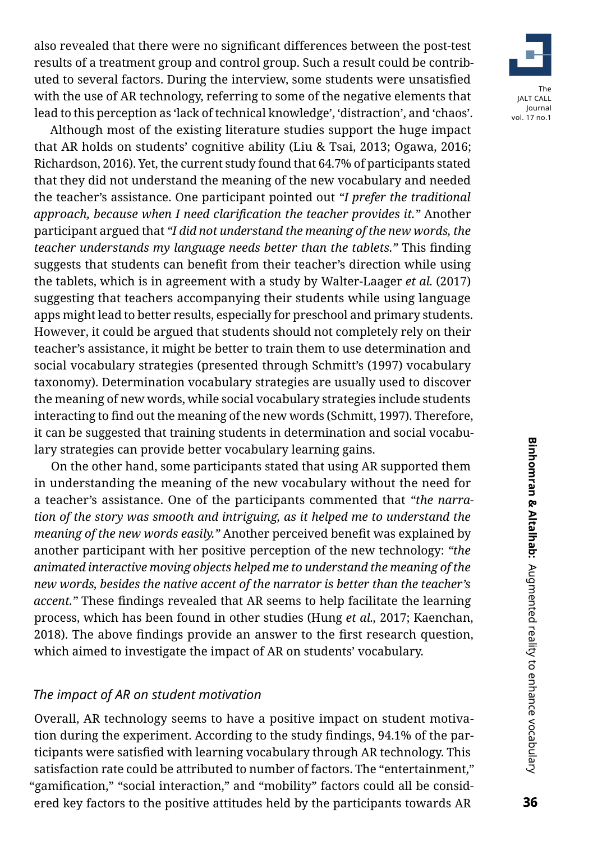also revealed that there were no significant differences between the post-test results of a treatment group and control group. Such a result could be contributed to several factors. During the interview, some students were unsatisfied with the use of AR technology, referring to some of the negative elements that lead to this perception as 'lack of technical knowledge', 'distraction', and 'chaos'.

Although most of the existing literature studies support the huge impact that AR holds on students' cognitive ability (Liu & Tsai, 2013; Ogawa, 2016; Richardson, 2016). Yet, the current study found that 64.7% of participants stated that they did not understand the meaning of the new vocabulary and needed the teacher's assistance. One participant pointed out *"I prefer the traditional approach, because when I need clarification the teacher provides it."* Another participant argued that *"I did not understand the meaning of the new words, the teacher understands my language needs better than the tablets."* This finding suggests that students can benefit from their teacher's direction while using the tablets, which is in agreement with a study by Walter-Laager *et al.* (2017) suggesting that teachers accompanying their students while using language apps might lead to better results, especially for preschool and primary students. However, it could be argued that students should not completely rely on their teacher's assistance, it might be better to train them to use determination and social vocabulary strategies (presented through Schmitt's (1997) vocabulary taxonomy). Determination vocabulary strategies are usually used to discover the meaning of new words, while social vocabulary strategies include students interacting to find out the meaning of the new words (Schmitt, 1997). Therefore, it can be suggested that training students in determination and social vocabulary strategies can provide better vocabulary learning gains.

On the other hand, some participants stated that using AR supported them in understanding the meaning of the new vocabulary without the need for a teacher's assistance. One of the participants commented that *"the narration of the story was smooth and intriguing, as it helped me to understand the meaning of the new words easily."* Another perceived benefit was explained by another participant with her positive perception of the new technology: *"the animated interactive moving objects helped me to understand the meaning of the new words, besides the native accent of the narrator is better than the teacher's accent."* These findings revealed that AR seems to help facilitate the learning process, which has been found in other studies (Hung *et al.,* 2017; Kaenchan, 2018). The above findings provide an answer to the first research question, which aimed to investigate the impact of AR on students' vocabulary.

#### *The impact of AR on student motivation*

Overall, AR technology seems to have a positive impact on student motivation during the experiment. According to the study findings, 94.1% of the participants were satisfied with learning vocabulary through AR technology. This satisfaction rate could be attributed to number of factors. The "entertainment," "gamification," "social interaction," and "mobility" factors could all be considered key factors to the positive attitudes held by the participants towards AR

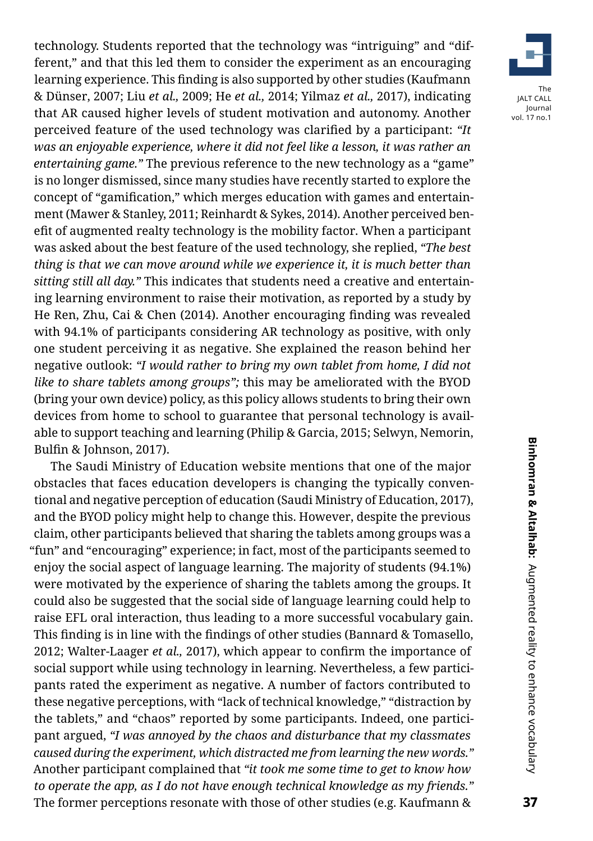technology. Students reported that the technology was "intriguing" and "different," and that this led them to consider the experiment as an encouraging learning experience. This finding is also supported by other studies (Kaufmann & Dünser, 2007; Liu *et al.,* 2009; He *et al.,* 2014; Yilmaz *et al.,* 2017), indicating that AR caused higher levels of student motivation and autonomy. Another perceived feature of the used technology was clarified by a participant: *"It was an enjoyable experience, where it did not feel like a lesson, it was rather an entertaining game."* The previous reference to the new technology as a "game" is no longer dismissed, since many studies have recently started to explore the concept of "gamification," which merges education with games and entertainment (Mawer & Stanley, 2011; Reinhardt & Sykes, 2014). Another perceived benefit of augmented realty technology is the mobility factor. When a participant was asked about the best feature of the used technology, she replied, *"The best thing is that we can move around while we experience it, it is much better than sitting still all day."* This indicates that students need a creative and entertaining learning environment to raise their motivation, as reported by a study by He Ren, Zhu, Cai & Chen (2014). Another encouraging finding was revealed with 94.1% of participants considering AR technology as positive, with only one student perceiving it as negative. She explained the reason behind her negative outlook: *"I would rather to bring my own tablet from home, I did not like to share tablets among groups";* this may be ameliorated with the BYOD (bring your own device) policy, as this policy allows students to bring their own devices from home to school to guarantee that personal technology is available to support teaching and learning (Philip & Garcia, 2015; Selwyn, Nemorin, Bulfin & Johnson, 2017).

The Saudi Ministry of Education website mentions that one of the major obstacles that faces education developers is changing the typically conventional and negative perception of education (Saudi Ministry of Education, 2017), and the BYOD policy might help to change this. However, despite the previous claim, other participants believed that sharing the tablets among groups was a "fun" and "encouraging" experience; in fact, most of the participants seemed to enjoy the social aspect of language learning. The majority of students (94.1%) were motivated by the experience of sharing the tablets among the groups. It could also be suggested that the social side of language learning could help to raise EFL oral interaction, thus leading to a more successful vocabulary gain. This finding is in line with the findings of other studies (Bannard & Tomasello, 2012; Walter-Laager *et al.,* 2017), which appear to confirm the importance of social support while using technology in learning. Nevertheless, a few participants rated the experiment as negative. A number of factors contributed to these negative perceptions, with "lack of technical knowledge," "distraction by the tablets," and "chaos" reported by some participants. Indeed, one participant argued, *"I was annoyed by the chaos and disturbance that my classmates caused during the experiment, which distracted me from learning the new words."*  Another participant complained that *"it took me some time to get to know how to operate the app, as I do not have enough technical knowledge as my friends."*  The former perceptions resonate with those of other studies (e.g. Kaufmann &

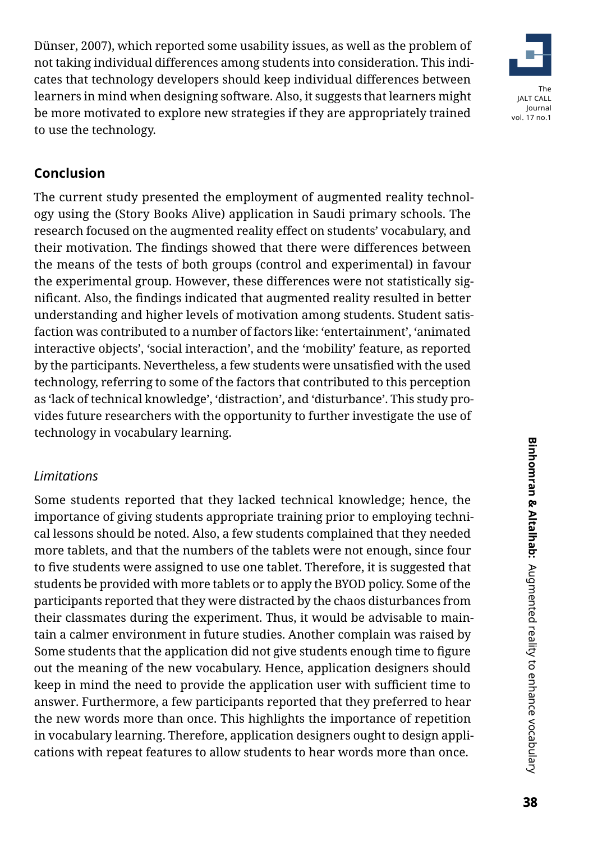Dünser, 2007), which reported some usability issues, as well as the problem of not taking individual differences among students into consideration. This indicates that technology developers should keep individual differences between learners in mind when designing software. Also, it suggests that learners might be more motivated to explore new strategies if they are appropriately trained to use the technology.



# **Conclusion**

The current study presented the employment of augmented reality technology using the (Story Books Alive) application in Saudi primary schools. The research focused on the augmented reality effect on students' vocabulary, and their motivation. The findings showed that there were differences between the means of the tests of both groups (control and experimental) in favour the experimental group. However, these differences were not statistically significant. Also, the findings indicated that augmented reality resulted in better understanding and higher levels of motivation among students. Student satisfaction was contributed to a number of factors like: 'entertainment', 'animated interactive objects', 'social interaction', and the 'mobility' feature, as reported by the participants. Nevertheless, a few students were unsatisfied with the used technology, referring to some of the factors that contributed to this perception as 'lack of technical knowledge', 'distraction', and 'disturbance'. This study provides future researchers with the opportunity to further investigate the use of technology in vocabulary learning.

# *Limitations*

Some students reported that they lacked technical knowledge; hence, the importance of giving students appropriate training prior to employing technical lessons should be noted. Also, a few students complained that they needed more tablets, and that the numbers of the tablets were not enough, since four to five students were assigned to use one tablet. Therefore, it is suggested that students be provided with more tablets or to apply the BYOD policy. Some of the participants reported that they were distracted by the chaos disturbances from their classmates during the experiment. Thus, it would be advisable to maintain a calmer environment in future studies. Another complain was raised by Some students that the application did not give students enough time to figure out the meaning of the new vocabulary. Hence, application designers should keep in mind the need to provide the application user with sufficient time to answer. Furthermore, a few participants reported that they preferred to hear the new words more than once. This highlights the importance of repetition in vocabulary learning. Therefore, application designers ought to design applications with repeat features to allow students to hear words more than once.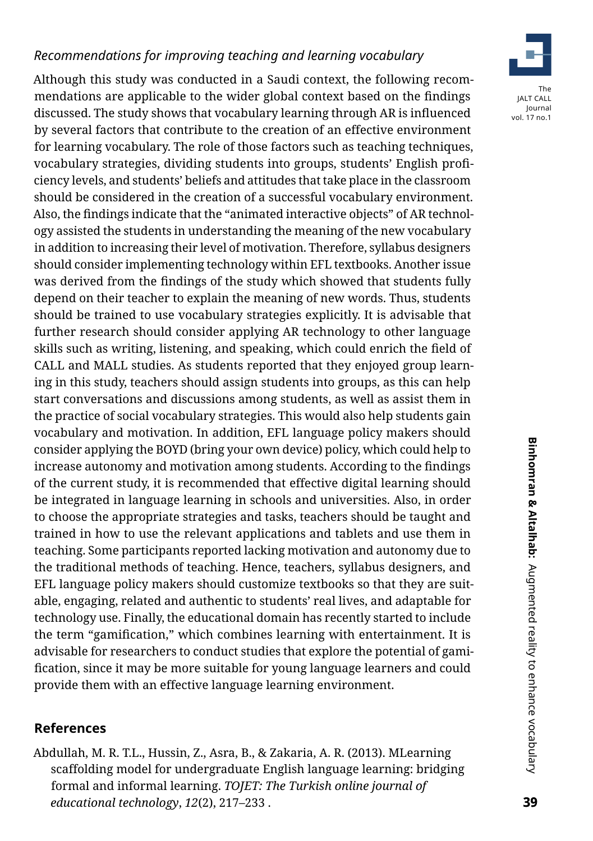# *Recommendations for improving teaching and learning vocabulary*

Although this study was conducted in a Saudi context, the following recommendations are applicable to the wider global context based on the findings discussed. The study shows that vocabulary learning through AR is influenced by several factors that contribute to the creation of an effective environment for learning vocabulary. The role of those factors such as teaching techniques, vocabulary strategies, dividing students into groups, students' English proficiency levels, and students' beliefs and attitudes that take place in the classroom should be considered in the creation of a successful vocabulary environment. Also, the findings indicate that the "animated interactive objects" of AR technology assisted the students in understanding the meaning of the new vocabulary in addition to increasing their level of motivation. Therefore, syllabus designers should consider implementing technology within EFL textbooks. Another issue was derived from the findings of the study which showed that students fully depend on their teacher to explain the meaning of new words. Thus, students should be trained to use vocabulary strategies explicitly. It is advisable that further research should consider applying AR technology to other language skills such as writing, listening, and speaking, which could enrich the field of CALL and MALL studies. As students reported that they enjoyed group learning in this study, teachers should assign students into groups, as this can help start conversations and discussions among students, as well as assist them in the practice of social vocabulary strategies. This would also help students gain vocabulary and motivation. In addition, EFL language policy makers should consider applying the BOYD (bring your own device) policy, which could help to increase autonomy and motivation among students. According to the findings of the current study, it is recommended that effective digital learning should be integrated in language learning in schools and universities. Also, in order to choose the appropriate strategies and tasks, teachers should be taught and trained in how to use the relevant applications and tablets and use them in teaching. Some participants reported lacking motivation and autonomy due to the traditional methods of teaching. Hence, teachers, syllabus designers, and EFL language policy makers should customize textbooks so that they are suitable, engaging, related and authentic to students' real lives, and adaptable for technology use. Finally, the educational domain has recently started to include the term "gamification," which combines learning with entertainment. It is advisable for researchers to conduct studies that explore the potential of gamification, since it may be more suitable for young language learners and could provide them with an effective language learning environment.

#### **References**

Abdullah, M. R. T.L., Hussin, Z., Asra, B., & Zakaria, A. R. (2013). MLearning scaffolding model for undergraduate English language learning: bridging formal and informal learning. *TOJET: The Turkish online journal of educational technology*, *12*(2), 217–233 .

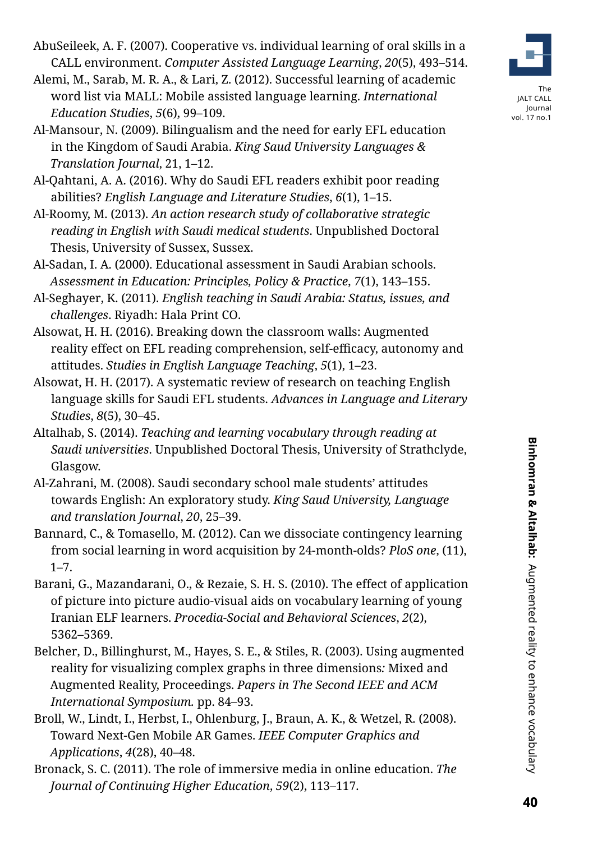AbuSeileek, A. F. (2007). Cooperative vs. individual learning of oral skills in a CALL environment. *Computer Assisted Language Learning*, *20*(5), 493–514.

- Alemi, M., Sarab, M. R. A., & Lari, Z. (2012). Successful learning of academic word list via MALL: Mobile assisted language learning. *International Education Studies*, *5*(6), 99–109.
- Al-Mansour, N. (2009). Bilingualism and the need for early EFL education in the Kingdom of Saudi Arabia. *King Saud University Languages & Translation Journal*, 21, 1–12.
- Al-Qahtani, A. A. (2016). Why do Saudi EFL readers exhibit poor reading abilities? *English Language and Literature Studies*, *6*(1), 1–15.
- Al-Roomy, M. (2013). *An action research study of collaborative strategic reading in English with Saudi medical students*. Unpublished Doctoral Thesis, University of Sussex, Sussex.
- Al-Sadan, I. A. (2000). Educational assessment in Saudi Arabian schools. *Assessment in Education: Principles, Policy & Practice*, *7*(1), 143–155.
- Al-Seghayer, K. (2011). *English teaching in Saudi Arabia: Status, issues, and challenges*. Riyadh: Hala Print CO.
- Alsowat, H. H. (2016). Breaking down the classroom walls: Augmented reality effect on EFL reading comprehension, self-efficacy, autonomy and attitudes. *Studies in English Language Teaching*, *5*(1), 1–23.
- Alsowat, H. H. (2017). A systematic review of research on teaching English language skills for Saudi EFL students. *Advances in Language and Literary Studies*, *8*(5), 30–45.
- Altalhab, S. (2014). *Teaching and learning vocabulary through reading at Saudi universities*. Unpublished Doctoral Thesis, University of Strathclyde, Glasgow.
- Al-Zahrani, M. (2008). Saudi secondary school male students' attitudes towards English: An exploratory study. *King Saud University, Language and translation Journal*, *20*, 25–39.
- Bannard, C., & Tomasello, M. (2012). Can we dissociate contingency learning from social learning in word acquisition by 24-month-olds? *PloS one*, (11),  $1 - 7$ .
- Barani, G., Mazandarani, O., & Rezaie, S. H. S. (2010). The effect of application of picture into picture audio-visual aids on vocabulary learning of young Iranian ELF learners. *Procedia-Social and Behavioral Sciences*, *2*(2), 5362–5369.
- Belcher, D., Billinghurst, M., Hayes, S. E., & Stiles, R. (2003). Using augmented reality for visualizing complex graphs in three dimensions*:* Mixed and Augmented Reality, Proceedings. *Papers in The Second IEEE and ACM International Symposium.* pp. 84–93.
- Broll, W., Lindt, I., Herbst, I., Ohlenburg, J., Braun, A. K., & Wetzel, R. (2008). Toward Next-Gen Mobile AR Games. *IEEE Computer Graphics and Applications*, *4*(28), 40–48.
- Bronack, S. C. (2011). The role of immersive media in online education. *The Journal of Continuing Higher Education*, *59*(2), 113–117.

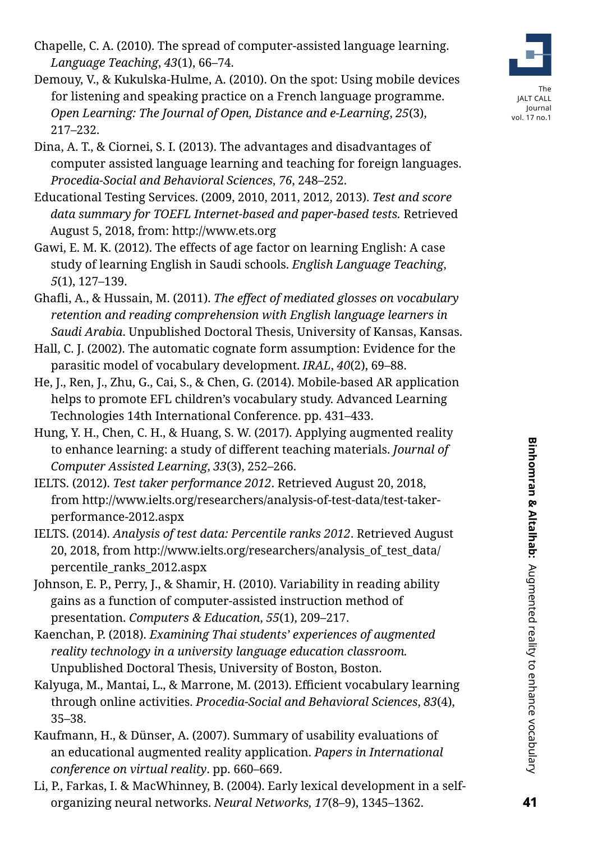- Chapelle, C. A. (2010). The spread of computer-assisted language learning. *Language Teaching*, *43*(1), 66–74.
- Demouy, V., & Kukulska-Hulme, A. (2010). On the spot: Using mobile devices for listening and speaking practice on a French language programme. *Open Learning: The Journal of Open, Distance and e-Learning*, *25*(3), 217–232.
- Dina, A. T., & Ciornei, S. I. (2013). The advantages and disadvantages of computer assisted language learning and teaching for foreign languages. *Procedia-Social and Behavioral Sciences*, *76*, 248–252.
- Educational Testing Services. (2009, 2010, 2011, 2012, 2013). *Test and score data summary for TOEFL Internet-based and paper-based tests.* Retrieved August 5, 2018, from: [http://www.ets.org](http://www.ets.org/)
- Gawi, E. M. K. (2012). The effects of age factor on learning English: A case study of learning English in Saudi schools. *English Language Teaching*, *5*(1), 127–139.
- Ghafli, A., & Hussain, M. (2011). *The effect of mediated glosses on vocabulary retention and reading comprehension with English language learners in Saudi Arabia*. Unpublished Doctoral Thesis, University of Kansas, Kansas.
- Hall, C. J. (2002). The automatic cognate form assumption: Evidence for the parasitic model of vocabulary development. *IRAL*, *40*(2), 69–88.
- He, J., Ren, J., Zhu, G., Cai, S., & Chen, G. (2014). Mobile-based AR application helps to promote EFL children's vocabulary study. Advanced Learning Technologies 14th International Conference. pp. 431–433.
- Hung, Y. H., Chen, C. H., & Huang, S. W. (2017). Applying augmented reality to enhance learning: a study of different teaching materials. *Journal of Computer Assisted Learning*, *33*(3), 252–266.
- IELTS. (2012). *Test taker performance 2012*. Retrieved August 20, 2018, from [http://www.ielts.org/researchers/analysis-of-test-data/test-taker](http://www.ielts.org/researchers/analysis-of-test-data/test-taker-performance-2012.aspx)[performance-2012.aspx](http://www.ielts.org/researchers/analysis-of-test-data/test-taker-performance-2012.aspx)
- IELTS. (2014). *Analysis of test data: Percentile ranks 2012*. Retrieved August 20, 2018, from [http://www.ielts.org/researchers/analysis\\_of\\_test\\_data/](http://www.ielts.org/researchers/analysis_of_test_data/percentile_ranks_2012.aspx) [percentile\\_ranks\\_2012.aspx](http://www.ielts.org/researchers/analysis_of_test_data/percentile_ranks_2012.aspx)
- Johnson, E. P., Perry, J., & Shamir, H. (2010). Variability in reading ability gains as a function of computer-assisted instruction method of presentation. *Computers & Education*, *55*(1), 209–217.
- Kaenchan, P. (2018). *Examining Thai students' experiences of augmented reality technology in a university language education classroom.*  Unpublished Doctoral Thesis, University of Boston, Boston.
- Kalyuga, M., Mantai, L., & Marrone, M. (2013). Efficient vocabulary learning through online activities. *Procedia-Social and Behavioral Sciences*, *83*(4), 35–38.
- Kaufmann, H., & Dünser, A. (2007). Summary of usability evaluations of an educational augmented reality application. *Papers in International conference on virtual reality*. pp. 660–669.
- Li, P., Farkas, I. & MacWhinney, B. (2004). Early lexical development in a selforganizing neural networks. *Neural Networks, 17*(8–9), 1345–1362.



The JALT CALL Journal vol. 17 no.1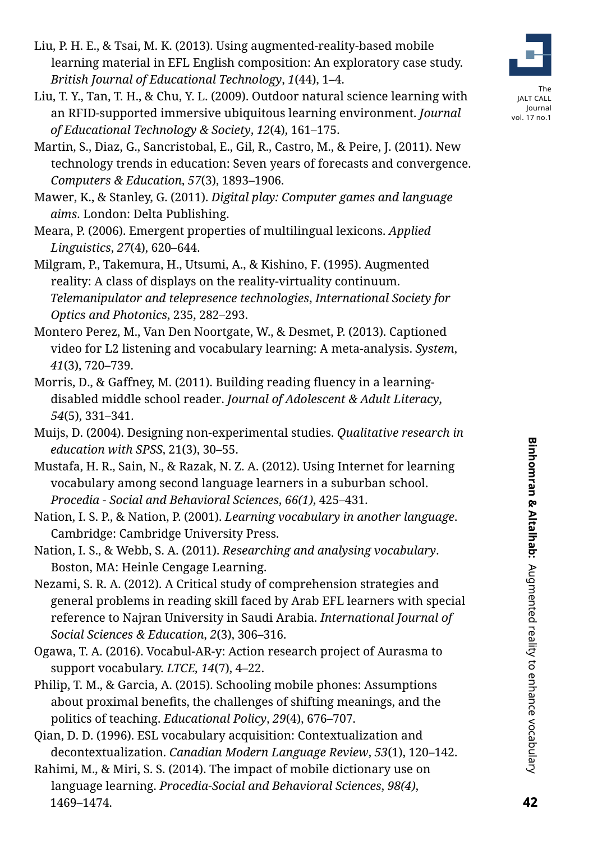- Liu, P. H. E., & Tsai, M. K. (2013). Using augmented-reality-based mobile learning material in EFL English composition: An exploratory case study. *British Journal of Educational Technology*, *1*(44), 1–4.
- Liu, T. Y., Tan, T. H., & Chu, Y. L. (2009). Outdoor natural science learning with an RFID-supported immersive ubiquitous learning environment. *Journal of Educational Technology & Society*, *12*(4), 161–175.
- Martin, S., Diaz, G., Sancristobal, E., Gil, R., Castro, M., & Peire, J. (2011). New technology trends in education: Seven years of forecasts and convergence. *Computers & Education*, *57*(3), 1893–1906.
- Mawer, K., & Stanley, G. (2011). *Digital play: Computer games and language aims*. London: Delta Publishing.
- Meara, P. (2006). Emergent properties of multilingual lexicons. *Applied Linguistics*, *27*(4), 620–644.
- Milgram, P., Takemura, H., Utsumi, A., & Kishino, F. (1995). Augmented reality: A class of displays on the reality-virtuality continuum. *Telemanipulator and telepresence technologies*, *International Society for Optics and Photonics*, 235, 282–293.
- Montero Perez, M., Van Den Noortgate, W., & Desmet, P. (2013). Captioned video for L2 listening and vocabulary learning: A meta-analysis. *System*, *41*(3), 720–739.
- Morris, D., & Gaffney, M. (2011). Building reading fluency in a learningdisabled middle school reader. *Journal of Adolescent & Adult Literacy*, *54*(5), 331–341.
- Muijs, D. (2004). Designing non-experimental studies. *Qualitative research in education with SPSS*, 21(3), 30–55.
- Mustafa, H. R., Sain, N., & Razak, N. Z. A. (2012). Using Internet for learning vocabulary among second language learners in a suburban school. *Procedia - Social and Behavioral Sciences*, *66(1)*, 425–431.
- Nation, I. S. P., & Nation, P. (2001). *Learning vocabulary in another language*. Cambridge: Cambridge University Press.
- Nation, I. S., & Webb, S. A. (2011). *Researching and analysing vocabulary*. Boston, MA: Heinle Cengage Learning.
- Nezami, S. R. A. (2012). A Critical study of comprehension strategies and general problems in reading skill faced by Arab EFL learners with special reference to Najran University in Saudi Arabia. *International Journal of Social Sciences & Education*, *2*(3), 306–316.
- Ogawa, T. A. (2016). Vocabul-AR-y: Action research project of Aurasma to support vocabulary. *LTCE, 14*(7), 4–22.
- Philip, T. M., & Garcia, A. (2015). Schooling mobile phones: Assumptions about proximal benefits, the challenges of shifting meanings, and the politics of teaching. *Educational Policy*, *29*(4), 676–707.
- Qian, D. D. (1996). ESL vocabulary acquisition: Contextualization and decontextualization. *Canadian Modern Language Review*, *53*(1), 120–142.
- Rahimi, M., & Miri, S. S. (2014). The impact of mobile dictionary use on language learning. *Procedia-Social and Behavioral Sciences*, *98(4)*, 1469–1474.

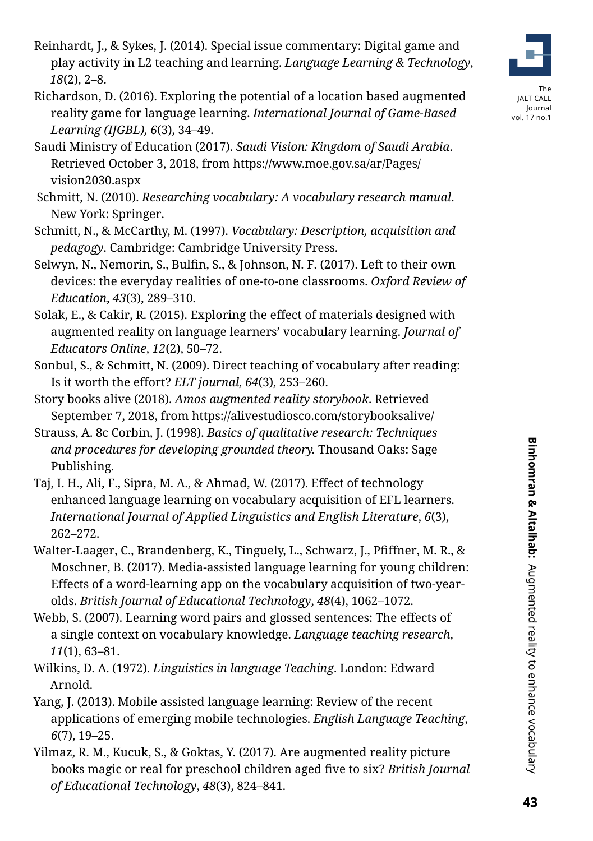- Reinhardt, J., & Sykes, J. (2014). Special issue commentary: Digital game and play activity in L2 teaching and learning. *Language Learning & Technology*, *18*(2), 2–8.
- Richardson, D. (2016). Exploring the potential of a location based augmented reality game for language learning. *International Journal of Game-Based Learning (IJGBL), 6*(3), 34–49.
- Saudi Ministry of Education (2017). *Saudi Vision: Kingdom of Saudi Arabia*. Retrieved October 3, 2018, from [https://www.moe.gov.sa/ar/Pages/](https://www.moe.gov.sa/ar/Pages/vision2030.aspx) [vision2030.aspx](https://www.moe.gov.sa/ar/Pages/vision2030.aspx)
- Schmitt, N. (2010). *Researching vocabulary: A vocabulary research manual*. New York: Springer.
- Schmitt, N., & McCarthy, M. (1997). *Vocabulary: Description, acquisition and pedagogy*. Cambridge: Cambridge University Press.
- Selwyn, N., Nemorin, S., Bulfin, S., & Johnson, N. F. (2017). Left to their own devices: the everyday realities of one-to-one classrooms. *Oxford Review of Education*, *43*(3), 289–310.
- Solak, E., & Cakir, R. (2015). Exploring the effect of materials designed with augmented reality on language learners' vocabulary learning. *Journal of Educators Online*, *12*(2), 50–72.
- Sonbul, S., & Schmitt, N. (2009). Direct teaching of vocabulary after reading: Is it worth the effort? *ELT journal*, *64*(3), 253–260.
- Story books alive (2018). *Amos augmented reality storybook*. Retrieved September 7, 2018, from https://alivestudiosco.com/storybooksalive/
- Strauss, A. 8c Corbin, J. (1998). *Basics of qualitative research: Techniques and procedures for developing grounded theory.* Thousand Oaks: Sage Publishing.
- Taj, I. H., Ali, F., Sipra, M. A., & Ahmad, W. (2017). Effect of technology enhanced language learning on vocabulary acquisition of EFL learners. *International Journal of Applied Linguistics and English Literature*, *6*(3), 262–272.
- Walter-Laager, C., Brandenberg, K., Tinguely, L., Schwarz, J., Pfiffner, M. R., & Moschner, B. (2017). Media-assisted language learning for young children: Effects of a word-learning app on the vocabulary acquisition of two-yearolds. *British Journal of Educational Technology*, *48*(4), 1062–1072.
- Webb, S. (2007). Learning word pairs and glossed sentences: The effects of a single context on vocabulary knowledge. *Language teaching research*, *11*(1), 63–81.
- Wilkins, D. A. (1972). *Linguistics in language Teaching*. London: Edward Arnold.
- Yang, J. (2013). Mobile assisted language learning: Review of the recent applications of emerging mobile technologies. *English Language Teaching*, *6*(7), 19–25.
- Yilmaz, R. M., Kucuk, S., & Goktas, Y. (2017). Are augmented reality picture books magic or real for preschool children aged five to six? *British Journal of Educational Technology*, *48*(3), 824–841.